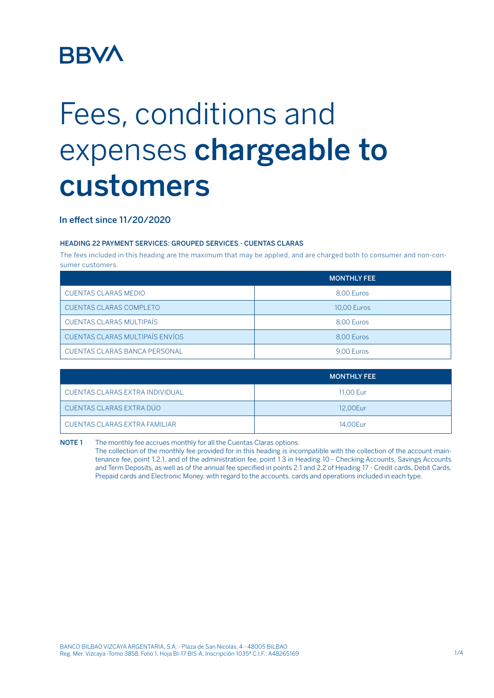## **BBV/**

# Fees, conditions and expenses chargeable to customers

### In effect since 11/20/2020

#### HEADING 22 PAYMENT SERVICES: GROUPED SERVICES - CUENTAS CLARAS

The fees included in this heading are the maximum that may be applied, and are charged both to consumer and non-consumer customers.

|                                        | <b>MONTHLY FEE</b> |
|----------------------------------------|--------------------|
| <b>CUENTAS CLARAS MEDIO</b>            | 8.00 Euros         |
| <b>CUENTAS CLARAS COMPLETO</b>         | <b>10.00 Euros</b> |
| <b>CUENTAS CLARAS MULTIPAÍS</b>        | 8.00 Euros         |
| <b>CUENTAS CLARAS MULTIPAÍS ENVÍOS</b> | 8.00 Euros         |
| CUENTAS CLARAS BANCA PERSONAL          | 9.00 Euros         |

|                                 | <b>MONTHLY FEE</b> |
|---------------------------------|--------------------|
| CUENTAS CLARAS EXTRA INDIVIDUAL | 11.00 Eur          |
| CUENTAS CLARAS EXTRA DÚO        | 12.00Eur           |
| CUENTAS CLARAS EXTRA FAMILIAR   | 14.00Eur           |

NOTE 1 The monthly fee accrues monthly for all the Cuentas Claras options. The collection of the monthly fee provided for in this heading is incompatible with the collection of the account maintenance fee, point 1.2.1, and of the administration fee, point 1.3 in Heading 10 - Checking Accounts, Savings Accounts and Term Deposits, as well as of the annual fee specified in points 2.1 and 2.2 of Heading 17 - Credit cards, Debit Cards, Prepaid cards and Electronic Money. with regard to the accounts, cards and operations included in each type.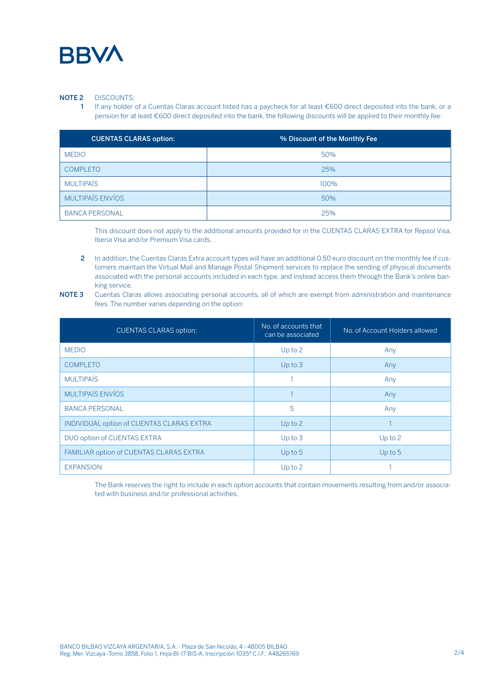

#### NOTE 2 DISCOUNTS:

If any holder of a Cuentas Claras account listed has a paycheck for at least €600 direct deposited into the bank, or a pension for at least €600 direct deposited into the bank, the following discounts will be applied to their monthly fee:

| <b>CUENTAS CLARAS option:</b> | % Discount of the Monthly Fee |
|-------------------------------|-------------------------------|
| <b>MEDIO</b>                  | 50%                           |
| <b>COMPLETO</b>               | 25%                           |
| <b>MULTIPAÍS</b>              | 100%                          |
| <b>MULTIPAÍS ENVÍOS</b>       | 50%                           |
| <b>BANCA PERSONAL</b>         | 25%                           |

This discount does not apply to the additional amounts provided for in the CUENTAS CLARAS EXTRA for Repsol Visa, Iberia Visa and/or Premium Visa cards.

2 In addition, the Cuentas Claras Extra account types will have an additional 0.50 euro discount on the monthly fee if customers maintain the Virtual Mail and Manage Postal Shipment services to replace the sending of physical documents associated with the personal accounts included in each type, and instead access them through the Bank's online banking service.

NOTE 3 Cuentas Claras allows associating personal accounts, all of which are exempt from administration and maintenance fees. The number varies depending on the option:

| <b>CUENTAS CLARAS option:</b>                    | No. of accounts that<br>can be associated | No. of Account Holders allowed |  |
|--------------------------------------------------|-------------------------------------------|--------------------------------|--|
| <b>MEDIO</b>                                     | $Up$ to $2$                               | Any                            |  |
| <b>COMPLETO</b>                                  | Up to 3                                   | Any                            |  |
| <b>MULTIPAÍS</b>                                 |                                           | Any                            |  |
| <b>MULTIPAÍS ENVÍOS</b>                          |                                           | Any                            |  |
| <b>BANCA PERSONAL</b>                            | 5                                         | Any                            |  |
| <b>INDIVIDUAL option of CUENTAS CLARAS EXTRA</b> | $Up$ to $2$                               |                                |  |
| DUO option of CUENTAS EXTRA                      | Up to 3                                   | Up to $2$                      |  |
| <b>FAMILIAR option of CUENTAS CLARAS EXTRA</b>   | $Up$ to $5$                               | Up to $5$                      |  |
| <b>EXPANSION</b>                                 | $Up$ to $2$                               |                                |  |

The Bank reserves the right to include in each option accounts that contain movements resulting from and/or associated with business and/or professional activities.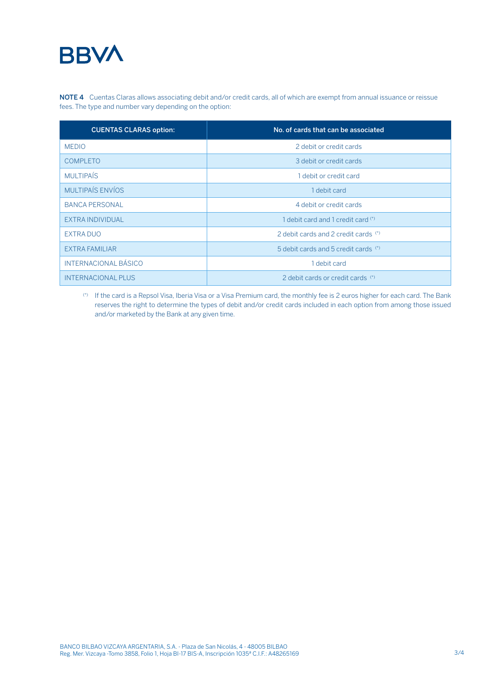### **BBVA**

NOTE 4 Cuentas Claras allows associating debit and/or credit cards, all of which are exempt from annual issuance or reissue fees. The type and number vary depending on the option:

| <b>CUENTAS CLARAS option:</b> | No. of cards that can be associated  |
|-------------------------------|--------------------------------------|
| <b>MEDIO</b>                  | 2 debit or credit cards              |
| <b>COMPLETO</b>               | 3 debit or credit cards              |
| <b>MULTIPAÍS</b>              | 1 debit or credit card               |
| MULTIPAÍS ENVÍOS              | 1 debit card                         |
| <b>BANCA PERSONAL</b>         | 4 debit or credit cards              |
| <b>EXTRA INDIVIDUAL</b>       | 1 debit card and 1 credit card (*)   |
| <b>EXTRA DUO</b>              | 2 debit cards and 2 credit cards (*) |
| EXTRA FAMILIAR                | 5 debit cards and 5 credit cards (*) |
| <b>INTERNACIONAL BÁSICO</b>   | 1 debit card                         |
| <b>INTERNACIONAL PLUS</b>     | 2 debit cards or credit cards (*)    |

(\*) If the card is a Repsol Visa, Iberia Visa or a Visa Premium card, the monthly fee is 2 euros higher for each card. The Bank reserves the right to determine the types of debit and/or credit cards included in each option from among those issued and/or marketed by the Bank at any given time.